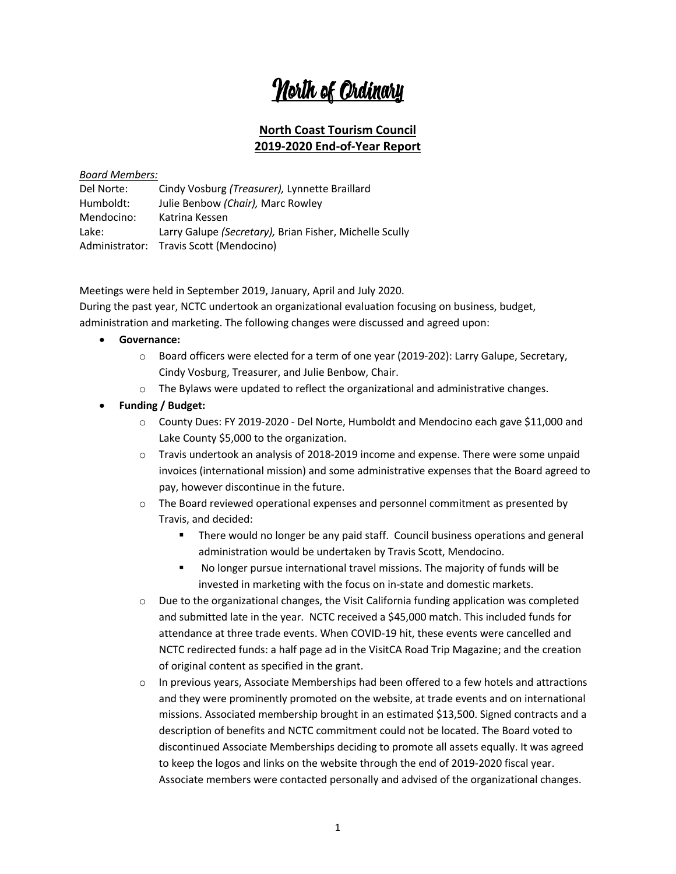# North of Ordinary

## **North Coast Tourism Council 2019-2020 End-of-Year Report**

#### *Board Members:*

| Del Norte: | Cindy Vosburg ( <i>Treasurer</i> ), Lynnette Braillard  |
|------------|---------------------------------------------------------|
| Humboldt:  | Julie Benbow (Chair), Marc Rowley                       |
| Mendocino: | Katrina Kessen                                          |
| Lake:      | Larry Galupe (Secretary), Brian Fisher, Michelle Scully |
|            | Administrator: Travis Scott (Mendocino)                 |

Meetings were held in September 2019, January, April and July 2020.

During the past year, NCTC undertook an organizational evaluation focusing on business, budget, administration and marketing. The following changes were discussed and agreed upon:

### • **Governance:**

- o Board officers were elected for a term of one year (2019-202): Larry Galupe, Secretary, Cindy Vosburg, Treasurer, and Julie Benbow, Chair.
- o The Bylaws were updated to reflect the organizational and administrative changes.
- **Funding / Budget:**
	- $\circ$  County Dues: FY 2019-2020 Del Norte, Humboldt and Mendocino each gave \$11,000 and Lake County \$5,000 to the organization.
	- $\circ$  Travis undertook an analysis of 2018-2019 income and expense. There were some unpaid invoices (international mission) and some administrative expenses that the Board agreed to pay, however discontinue in the future.
	- $\circ$  The Board reviewed operational expenses and personnel commitment as presented by Travis, and decided:
		- ! There would no longer be any paid staff. Council business operations and general administration would be undertaken by Travis Scott, Mendocino.
		- ! No longer pursue international travel missions. The majority of funds will be invested in marketing with the focus on in-state and domestic markets.
	- o Due to the organizational changes, the Visit California funding application was completed and submitted late in the year. NCTC received a \$45,000 match. This included funds for attendance at three trade events. When COVID-19 hit, these events were cancelled and NCTC redirected funds: a half page ad in the VisitCA Road Trip Magazine; and the creation of original content as specified in the grant.
	- $\circ$  In previous years, Associate Memberships had been offered to a few hotels and attractions and they were prominently promoted on the website, at trade events and on international missions. Associated membership brought in an estimated \$13,500. Signed contracts and a description of benefits and NCTC commitment could not be located. The Board voted to discontinued Associate Memberships deciding to promote all assets equally. It was agreed to keep the logos and links on the website through the end of 2019-2020 fiscal year. Associate members were contacted personally and advised of the organizational changes.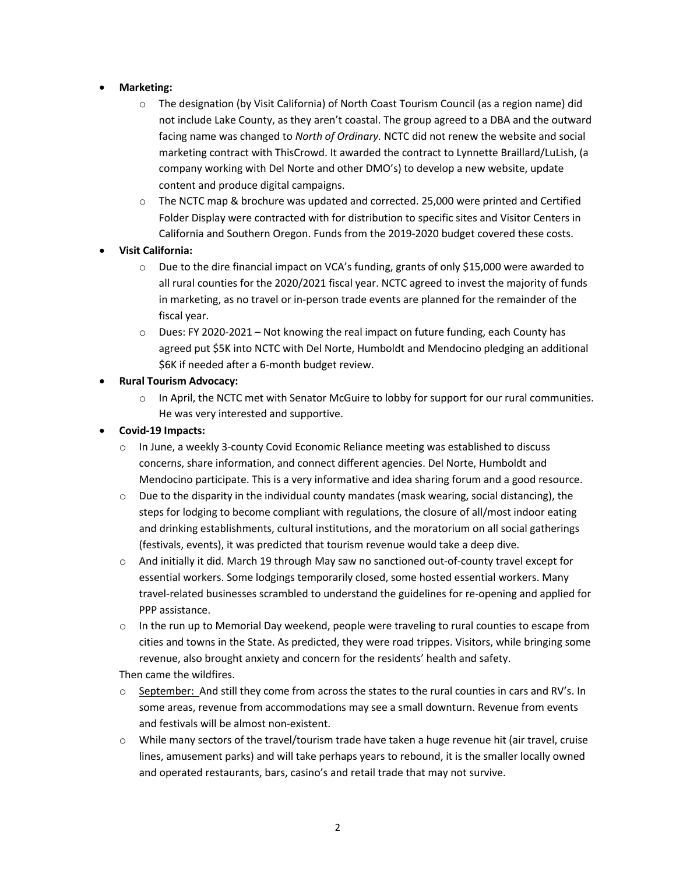### • **Marketing:**

- o The designation (by Visit California) of North Coast Tourism Council (as a region name) did not include Lake County, as they aren't coastal. The group agreed to a DBA and the outward facing name was changed to *North of Ordinary.* NCTC did not renew the website and social marketing contract with ThisCrowd. It awarded the contract to Lynnette Braillard/LuLish, (a company working with Del Norte and other DMO's) to develop a new website, update content and produce digital campaigns.
- $\circ$  The NCTC map & brochure was updated and corrected. 25,000 were printed and Certified Folder Display were contracted with for distribution to specific sites and Visitor Centers in California and Southern Oregon. Funds from the 2019-2020 budget covered these costs.

### • **Visit California:**

- o Due to the dire financial impact on VCA's funding, grants of only \$15,000 were awarded to all rural counties for the 2020/2021 fiscal year. NCTC agreed to invest the majority of funds in marketing, as no travel or in-person trade events are planned for the remainder of the fiscal year.
- $\circ$  Dues: FY 2020-2021 Not knowing the real impact on future funding, each County has agreed put \$5K into NCTC with Del Norte, Humboldt and Mendocino pledging an additional \$6K if needed after a 6-month budget review.

### • **Rural Tourism Advocacy:**

 $\circ$  In April, the NCTC met with Senator McGuire to lobby for support for our rural communities. He was very interested and supportive.

### • **Covid-19 Impacts:**

- o In June, a weekly 3-county Covid Economic Reliance meeting was established to discuss concerns, share information, and connect different agencies. Del Norte, Humboldt and Mendocino participate. This is a very informative and idea sharing forum and a good resource.
- $\circ$  Due to the disparity in the individual county mandates (mask wearing, social distancing), the steps for lodging to become compliant with regulations, the closure of all/most indoor eating and drinking establishments, cultural institutions, and the moratorium on all social gatherings (festivals, events), it was predicted that tourism revenue would take a deep dive.
- $\circ$  And initially it did. March 19 through May saw no sanctioned out-of-county travel except for essential workers. Some lodgings temporarily closed, some hosted essential workers. Many travel-related businesses scrambled to understand the guidelines for re-opening and applied for PPP assistance.
- $\circ$  In the run up to Memorial Day weekend, people were traveling to rural counties to escape from cities and towns in the State. As predicted, they were road trippes. Visitors, while bringing some revenue, also brought anxiety and concern for the residents' health and safety.

Then came the wildfires.

- September: And still they come from across the states to the rural counties in cars and RV's. In some areas, revenue from accommodations may see a small downturn. Revenue from events and festivals will be almost non-existent.
- o While many sectors of the travel/tourism trade have taken a huge revenue hit (air travel, cruise lines, amusement parks) and will take perhaps years to rebound, it is the smaller locally owned and operated restaurants, bars, casino's and retail trade that may not survive.